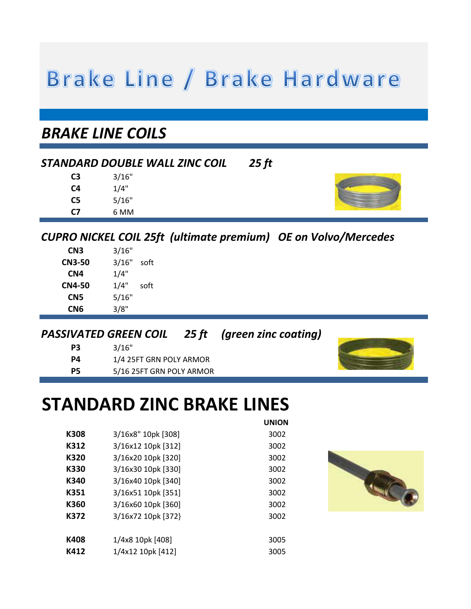# Brake Line / Brake Hardware

# *BRAKE LINE COILS*

# *STANDARD DOUBLE WALL ZINC COIL 25 ft*

| C3 | 3/16" |
|----|-------|
| C4 | 1/4"  |
| C5 | 5/16" |
| C7 | 6 MM  |



# *CUPRO NICKEL COIL 25ft (ultimate premium) OE on Volvo/Mercedes*

**UNION** 

| CN3           | 3/16" |      |
|---------------|-------|------|
| <b>CN3-50</b> | 3/16" | soft |
| CN4           | 1/4"  |      |
| <b>CN4-50</b> | 1/4"  | soft |
| CN5           | 5/16" |      |
| CN6           | 3/8"  |      |

#### *PASSIVATED GREEN COIL 25 ft (green zinc coating)*

| P3        | 3/16"                    |
|-----------|--------------------------|
| P4        | 1/4 25FT GRN POLY ARMOR  |
| <b>P5</b> | 5/16 25FT GRN POLY ARMOR |



# **STANDARD ZINC BRAKE LINES**

|      |                    | UNIUN |
|------|--------------------|-------|
| K308 | 3/16x8" 10pk [308] | 3002  |
| K312 | 3/16x12 10pk [312] | 3002  |
| K320 | 3/16x20 10pk [320] | 3002  |
| K330 | 3/16x30 10pk [330] | 3002  |
| K340 | 3/16x40 10pk [340] | 3002  |
| K351 | 3/16x51 10pk [351] | 3002  |
| K360 | 3/16x60 10pk [360] | 3002  |
| K372 | 3/16x72 10pk [372] | 3002  |
|      |                    |       |
| K408 | 1/4x8 10pk [408]   | 3005  |
| K412 | 1/4x12 10pk [412]  | 3005  |

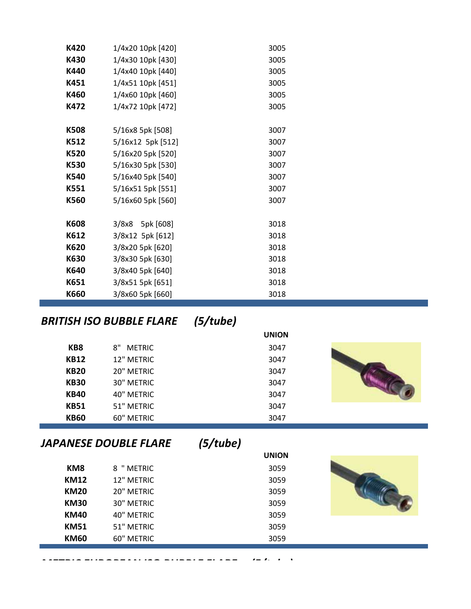| K420 | 1/4x20 10pk [420] | 3005 |
|------|-------------------|------|
| K430 | 1/4x30 10pk [430] | 3005 |
| K440 | 1/4x40 10pk [440] | 3005 |
| K451 | 1/4x51 10pk [451] | 3005 |
| K460 | 1/4x60 10pk [460] | 3005 |
| K472 | 1/4x72 10pk [472] | 3005 |
|      |                   |      |
| K508 | 5/16x8 5pk [508]  | 3007 |
| K512 | 5/16x12 5pk [512] | 3007 |
| K520 | 5/16x20 5pk [520] | 3007 |
| K530 | 5/16x30 5pk [530] | 3007 |
| K540 | 5/16x40 5pk [540] | 3007 |
| K551 | 5/16x51 5pk [551] | 3007 |
| K560 | 5/16x60 5pk [560] | 3007 |
|      |                   |      |
| K608 | 3/8x8 5pk [608]   | 3018 |
| K612 | 3/8x12 5pk [612]  | 3018 |
| K620 | 3/8x20 5pk [620]  | 3018 |
| K630 | 3/8x30 5pk [630]  | 3018 |
| K640 | 3/8x40 5pk [640]  | 3018 |
| K651 | 3/8x51 5pk [651]  | 3018 |
| K660 | 3/8x60 5pk [660]  | 3018 |

# *BRITISH ISO BUBBLE FLARE (5/tube)*

|             |                     | <b>UNION</b> |  |
|-------------|---------------------|--------------|--|
| KB8         | <b>METRIC</b><br>8" | 3047         |  |
| <b>KB12</b> | 12" METRIC          | 3047         |  |
| <b>KB20</b> | 20" METRIC          | 3047         |  |
| <b>KB30</b> | 30" METRIC          | 3047         |  |
| <b>KB40</b> | 40" METRIC          | 3047         |  |
| <b>KB51</b> | 51" METRIC          | 3047         |  |
| <b>KB60</b> | 60" METRIC          | 3047         |  |

# *JAPANESE DOUBLE FLARE (5/tube)*

*METRIC EUROPEAN ISO BUBBLE FLARE (5/tube)*

|             |            | . .<br>$\overline{\phantom{a}}$<br><b>UNION</b> |  |
|-------------|------------|-------------------------------------------------|--|
| KM8         | 8 " METRIC | 3059                                            |  |
| <b>KM12</b> | 12" METRIC | 3059                                            |  |
| <b>KM20</b> | 20" METRIC | 3059                                            |  |
| <b>KM30</b> | 30" METRIC | 3059                                            |  |
| <b>KM40</b> | 40" METRIC | 3059                                            |  |
| <b>KM51</b> | 51" METRIC | 3059                                            |  |
| <b>KM60</b> | 60" METRIC | 3059                                            |  |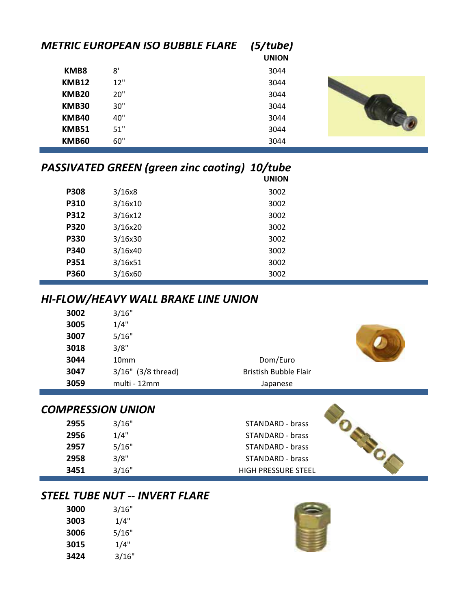|              | <b>METRIC EUROPEAN ISO BUBBLE FLARE</b> | (5/tube)<br><b>UNION</b> |  |
|--------------|-----------------------------------------|--------------------------|--|
| KMB8         | 8'                                      | 3044                     |  |
| <b>KMB12</b> | 12"                                     | 3044                     |  |
| <b>KMB20</b> | 20"                                     | 3044                     |  |
| <b>KMB30</b> | 30"                                     | 3044                     |  |
| <b>KMB40</b> | 40"                                     | 3044                     |  |
| <b>KMB51</b> | 51"                                     | 3044                     |  |
| <b>KMB60</b> | 60"                                     | 3044                     |  |

|             | <b>PASSIVATED GREEN (green zinc caoting) 10/tube</b> | <b>UNION</b> |
|-------------|------------------------------------------------------|--------------|
| <b>P308</b> | 3/16x8                                               | 3002         |
| P310        | 3/16x10                                              | 3002         |
| P312        | 3/16x12                                              | 3002         |
| <b>P320</b> | 3/16x20                                              | 3002         |
| <b>P330</b> | 3/16x30                                              | 3002         |
| P340        | 3/16x40                                              | 3002         |
| P351        | 3/16x51                                              | 3002         |
| P360        | 3/16x60                                              | 3002         |

## *HI-FLOW/HEAVY WALL BRAKE LINE UNION*

| 3002 | 3/16"                |                              |  |
|------|----------------------|------------------------------|--|
| 3005 | 1/4"                 |                              |  |
| 3007 | 5/16"                |                              |  |
| 3018 | 3/8"                 |                              |  |
| 3044 | 10 <sub>mm</sub>     | Dom/Euro                     |  |
| 3047 | $3/16"$ (3/8 thread) | <b>Bristish Bubble Flair</b> |  |
| 3059 | multi - 12mm         | Japanese                     |  |
|      |                      |                              |  |

**2955** 3/16" STANDARD - brass STANDARD - brass STANDARD - brass **2958** 3/8" STANDARD - brass **3451** 3/16" HIGH PRESSURE STEEL

### *COMPRESSION UNION*

| 2955 | 3/16" |
|------|-------|
| 2956 | 1/4"  |
| 2957 | 5/16" |
| 2958 | 3/8"  |
| 3451 | 3/16" |

## *STEEL TUBE NUT -- INVERT FLARE*

| 3000 | 3/16" |
|------|-------|
| 3003 | 1/4"  |
| 3006 | 5/16" |
| 3015 | 1/4"  |
| 3424 | 3/16" |



**Designal**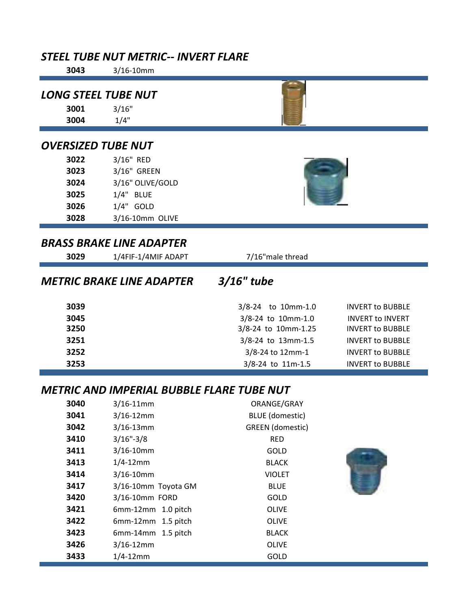## *STEEL TUBE NUT METRIC-- INVERT FLARE*

## 3/16" *LONG STEEL TUBE NUT*

| 3004 | 1/4" |
|------|------|
|      |      |

## *OVERSIZED TUBE NUT*

| 3022 | 3/16" RED        |
|------|------------------|
| 3023 | 3/16" GREEN      |
| 3024 | 3/16" OLIVE/GOLD |
| 3025 | 1/4" BLUE        |
| 3026 | $1/4"$ GOLD      |
| 3028 | 3/16-10mm OLIVE  |

## *BRASS BRAKE LINE ADAPTER*

| 3029 | 1/4FIF-1/4MIF ADAPT              | 7/16" male thread   |                         |
|------|----------------------------------|---------------------|-------------------------|
|      | <b>METRIC BRAKE LINE ADAPTER</b> | $3/16$ " tube       |                         |
| 3039 |                                  | 3/8-24 to 10mm-1.0  | <b>INVERT to BUBBLE</b> |
| 3045 |                                  | 3/8-24 to 10mm-1.0  | <b>INVERT to INVERT</b> |
| 3250 |                                  | 3/8-24 to 10mm-1.25 | <b>INVERT to BUBBLE</b> |
| 3251 |                                  | 3/8-24 to 13mm-1.5  | <b>INVERT to BUBBLE</b> |
| 3252 |                                  | 3/8-24 to 12mm-1    | <b>INVERT to BUBBLE</b> |
| 3253 |                                  | 3/8-24 to 11m-1.5   | <b>INVERT to BUBBLE</b> |

## *METRIC AND IMPERIAL BUBBLE FLARE TUBE NUT*

| 3040 | $3/16 - 11$ mm       | ORANGE/GRAY             |
|------|----------------------|-------------------------|
| 3041 | $3/16 - 12$ mm       | <b>BLUE</b> (domestic)  |
| 3042 | $3/16 - 13$ mm       | <b>GREEN</b> (domestic) |
| 3410 | $3/16" - 3/8$        | RED                     |
| 3411 | $3/16 - 10$ mm       | <b>GOLD</b>             |
| 3413 | $1/4 - 12$ mm        | <b>BLACK</b>            |
| 3414 | $3/16 - 10$ mm       | <b>VIOLET</b>           |
| 3417 | 3/16-10mm Toyota GM  | <b>BLUE</b>             |
| 3420 | 3/16-10mm FORD       | <b>GOLD</b>             |
| 3421 | $6mm-12mm$ 1.0 pitch | <b>OLIVE</b>            |
| 3422 | $6mm-12mm$ 1.5 pitch | <b>OLIVE</b>            |
| 3423 | $6mm-14mm$ 1.5 pitch | <b>BLACK</b>            |
| 3426 | $3/16 - 12$ mm       | <b>OLIVE</b>            |
| 3433 | $1/4 - 12$ mm        | <b>GOLD</b>             |

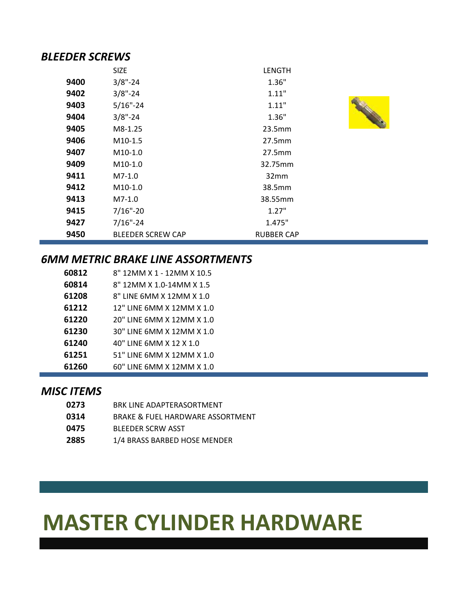#### *BLEEDER SCREWS*

|      | <b>SIZE</b>              | <b>LENGTH</b>     |  |
|------|--------------------------|-------------------|--|
| 9400 | $3/8" - 24$              | 1.36"             |  |
| 9402 | $3/8" - 24$              | 1.11"             |  |
| 9403 | $5/16" - 24$             | 1.11"             |  |
| 9404 | $3/8" - 24$              | 1.36"             |  |
| 9405 | M8-1.25                  | 23.5mm            |  |
| 9406 | $M10-1.5$                | 27.5mm            |  |
| 9407 | $M10-1.0$                | 27.5mm            |  |
| 9409 | $M10-1.0$                | 32.75mm           |  |
| 9411 | $M7-1.0$                 | 32mm              |  |
| 9412 | $M10-1.0$                | 38.5mm            |  |
| 9413 | $M7-1.0$                 | 38.55mm           |  |
| 9415 | $7/16$ "-20              | 1.27"             |  |
| 9427 | $7/16$ "-24              | 1.475"            |  |
| 9450 | <b>BLEEDER SCREW CAP</b> | <b>RUBBER CAP</b> |  |

### *6MM METRIC BRAKE LINE ASSORTMENTS*

| 60812 | 8" 12MM X 1 - 12MM X 10.5 |
|-------|---------------------------|
| 60814 | 8" 12MM X 1.0-14MM X 1.5  |
| 61208 | 8" LINE 6MM X 12MM X 1.0  |
| 61212 | 12" LINE 6MM X 12MM X 1.0 |
| 61220 | 20" LINE 6MM X 12MM X 1.0 |
| 61230 | 30" LINE 6MM X 12MM X 1.0 |
| 61240 | 40" LINE 6MM X 12 X 1.0   |
| 61251 | 51" LINE 6MM X 12MM X 1.0 |
| 61260 | 60" LINE 6MM X 12MM X 1.0 |

#### *MISC ITEMS*

| 0273 | BRK LINF ADAPTFRASORTMENT        |
|------|----------------------------------|
| 0314 | BRAKE & FUEL HARDWARE ASSORTMENT |
| 0475 | BLFFDFR SCRW ASST                |
| 2885 | 1/4 BRASS BARBED HOSE MENDER     |

# **MASTER CYLINDER HARDWARE**